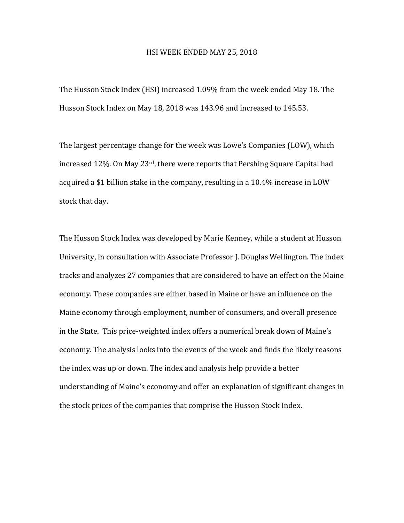## HSI WEEK ENDED MAY 25, 2018

The Husson Stock Index (HSI) increased 1.09% from the week ended May 18. The Husson Stock Index on May 18, 2018 was 143.96 and increased to 145.53.

The largest percentage change for the week was Lowe's Companies (LOW), which increased 12%. On May 23<sup>rd</sup>, there were reports that Pershing Square Capital had acquired a \$1 billion stake in the company, resulting in a 10.4% increase in LOW stock that day.

The Husson Stock Index was developed by Marie Kenney, while a student at Husson University, in consultation with Associate Professor J. Douglas Wellington. The index tracks and analyzes 27 companies that are considered to have an effect on the Maine economy. These companies are either based in Maine or have an influence on the Maine economy through employment, number of consumers, and overall presence in the State. This price-weighted index offers a numerical break down of Maine's economy. The analysis looks into the events of the week and finds the likely reasons the index was up or down. The index and analysis help provide a better understanding of Maine's economy and offer an explanation of significant changes in the stock prices of the companies that comprise the Husson Stock Index.